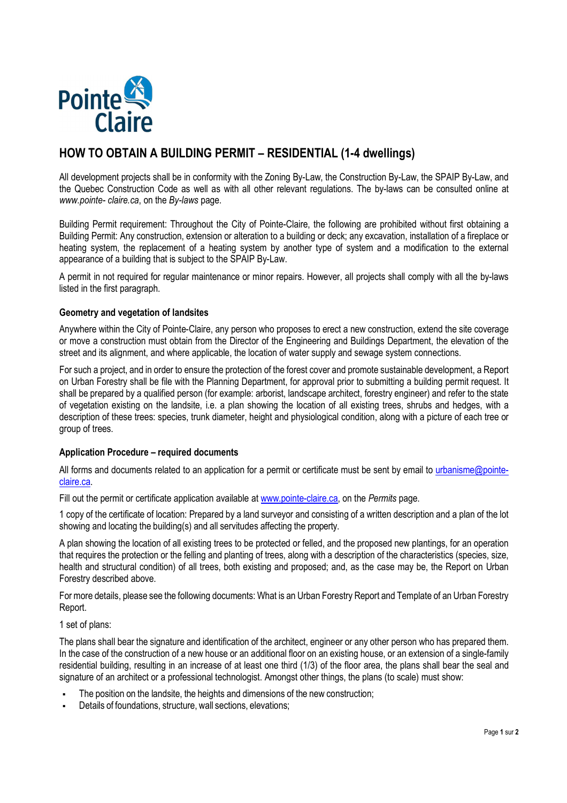

# **HOW TO OBTAIN A BUILDING PERMIT – RESIDENTIAL (1-4 dwellings)**

All development projects shall be in conformity with the Zoning By-Law, the Construction By-Law, the SPAIP By-Law, and the Quebec Construction Code as well as with all other relevant regulations. The by-laws can be consulted online at *www.pointe- claire.ca*, on the *By-laws* page.

Building Permit requirement: Throughout the City of Pointe-Claire, the following are prohibited without first obtaining a Building Permit: Any construction, extension or alteration to a building or deck; any excavation, installation of a fireplace or heating system, the replacement of a heating system by another type of system and a modification to the external appearance of a building that is subject to the SPAIP By-Law.

A permit in not required for regular maintenance or minor repairs. However, all projects shall comply with all the by-laws listed in the first paragraph.

## **Geometry and vegetation of landsites**

Anywhere within the City of Pointe-Claire, any person who proposes to erect a new construction, extend the site coverage or move a construction must obtain from the Director of the Engineering and Buildings Department, the elevation of the street and its alignment, and where applicable, the location of water supply and sewage system connections.

For such a project, and in order to ensure the protection of the forest cover and promote sustainable development, a Report on Urban Forestry shall be file with the Planning Department, for approval prior to submitting a building permit request. It shall be prepared by a qualified person (for example: arborist, landscape architect, forestry engineer) and refer to the state of vegetation existing on the landsite, i.e. a plan showing the location of all existing trees, shrubs and hedges, with a description of these trees: species, trunk diameter, height and physiological condition, along with a picture of each tree or group of trees.

## **Application Procedure – required documents**

All forms and documents related to an application for a permit or certificate must be sent by email to urbanisme@pointeclaire.ca.

Fill out the permit or certificate application available at www.pointe-claire.ca, on the *Permits* page.

1 copy of the certificate of location: Prepared by a land surveyor and consisting of a written description and a plan of the lot showing and locating the building(s) and all servitudes affecting the property.

A plan showing the location of all existing trees to be protected or felled, and the proposed new plantings, for an operation that requires the protection or the felling and planting of trees, along with a description of the characteristics (species, size, health and structural condition) of all trees, both existing and proposed; and, as the case may be, the Report on Urban Forestry described above.

For more details, please see the following documents: What is an Urban Forestry Report and Template of an Urban Forestry Report.

# 1 set of plans:

The plans shall bear the signature and identification of the architect, engineer or any other person who has prepared them. In the case of the construction of a new house or an additional floor on an existing house, or an extension of a single-family residential building, resulting in an increase of at least one third (1/3) of the floor area, the plans shall bear the seal and signature of an architect or a professional technologist. Amongst other things, the plans (to scale) must show:

- The position on the landsite, the heights and dimensions of the new construction;
- Details of foundations, structure, wall sections, elevations;